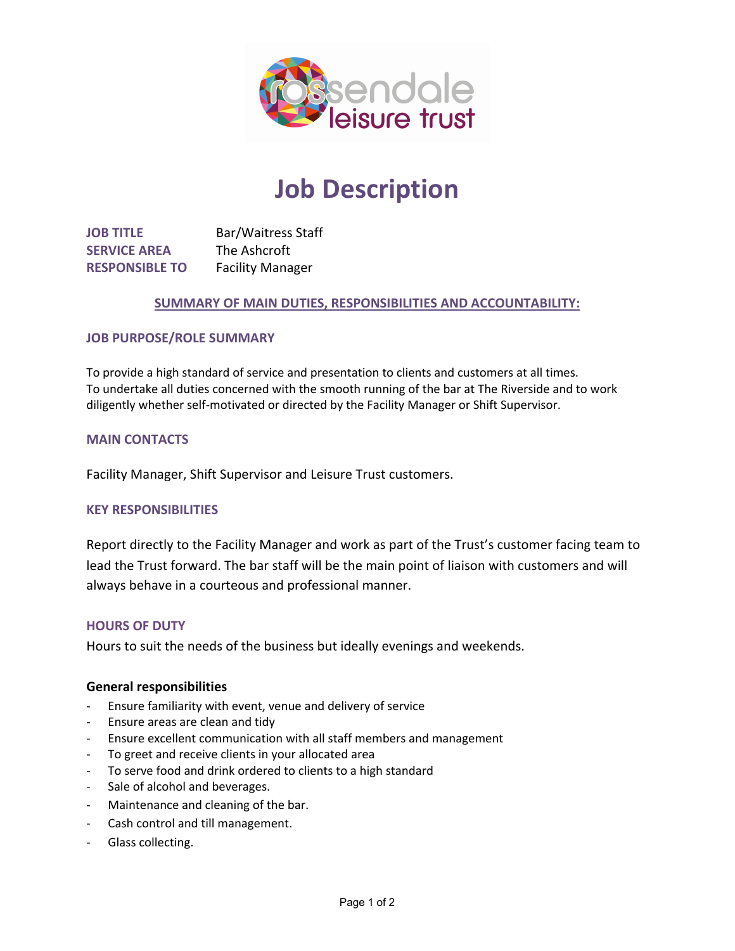

# **Job Description**

**JOB TITLE** Bar/Waitress Staff **SERVICE AREA** The Ashcroft **RESPONSIBLE TO** Facility Manager

## **SUMMARY OF MAIN DUTIES, RESPONSIBILITIES AND ACCOUNTABILITY:**

#### **JOB PURPOSE/ROLE SUMMARY**

To provide a high standard of service and presentation to clients and customers at all times. To undertake all duties concerned with the smooth running of the bar at The Riverside and to work diligently whether self-motivated or directed by the Facility Manager or Shift Supervisor.

#### **MAIN CONTACTS**

Facility Manager, Shift Supervisor and Leisure Trust customers.

### **KEY RESPONSIBILITIES**

Report directly to the Facility Manager and work as part of the Trust's customer facing team to lead the Trust forward. The bar staff will be the main point of liaison with customers and will always behave in a courteous and professional manner.

#### **HOURS OF DUTY**

Hours to suit the needs of the business but ideally evenings and weekends.

#### **General responsibilities**

- Ensure familiarity with event, venue and delivery of service
- Ensure areas are clean and tidy
- Ensure excellent communication with all staff members and management
- To greet and receive clients in your allocated area
- To serve food and drink ordered to clients to a high standard
- Sale of alcohol and beverages.
- Maintenance and cleaning of the bar.
- Cash control and till management.
- Glass collecting.